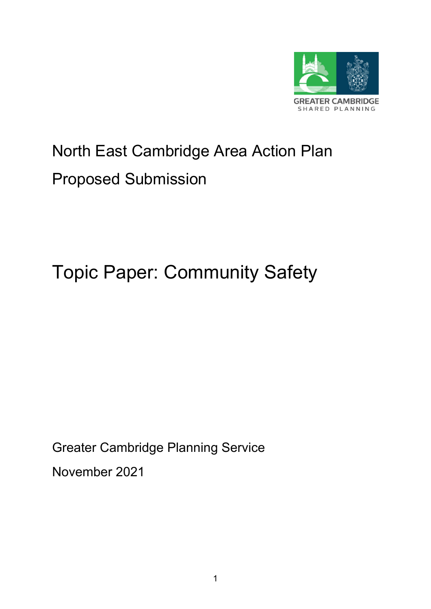

# <span id="page-0-1"></span><span id="page-0-0"></span>North East Cambridge Area Action Plan Proposed Submission

# <span id="page-0-2"></span>Topic Paper: Community Safety

Greater Cambridge Planning Service November 2021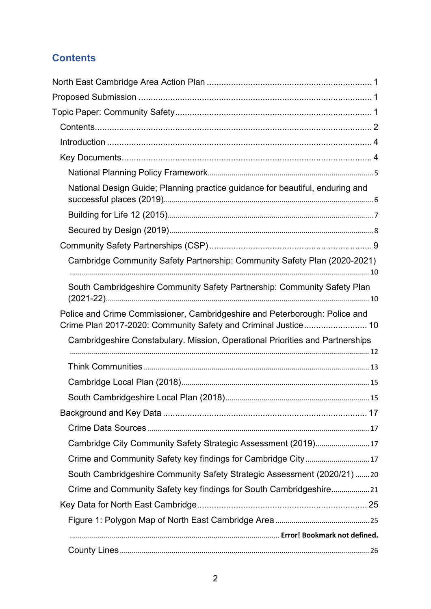# <span id="page-1-0"></span>**Contents**

| National Design Guide; Planning practice guidance for beautiful, enduring and                                                                |  |
|----------------------------------------------------------------------------------------------------------------------------------------------|--|
|                                                                                                                                              |  |
|                                                                                                                                              |  |
|                                                                                                                                              |  |
| Cambridge Community Safety Partnership: Community Safety Plan (2020-2021)                                                                    |  |
| South Cambridgeshire Community Safety Partnership: Community Safety Plan                                                                     |  |
| Police and Crime Commissioner, Cambridgeshire and Peterborough: Police and<br>Crime Plan 2017-2020: Community Safety and Criminal Justice 10 |  |
| Cambridgeshire Constabulary. Mission, Operational Priorities and Partnerships                                                                |  |
|                                                                                                                                              |  |
|                                                                                                                                              |  |
|                                                                                                                                              |  |
|                                                                                                                                              |  |
|                                                                                                                                              |  |
|                                                                                                                                              |  |
|                                                                                                                                              |  |
| South Cambridgeshire Community Safety Strategic Assessment (2020/21) 20                                                                      |  |
|                                                                                                                                              |  |
|                                                                                                                                              |  |
|                                                                                                                                              |  |
|                                                                                                                                              |  |
|                                                                                                                                              |  |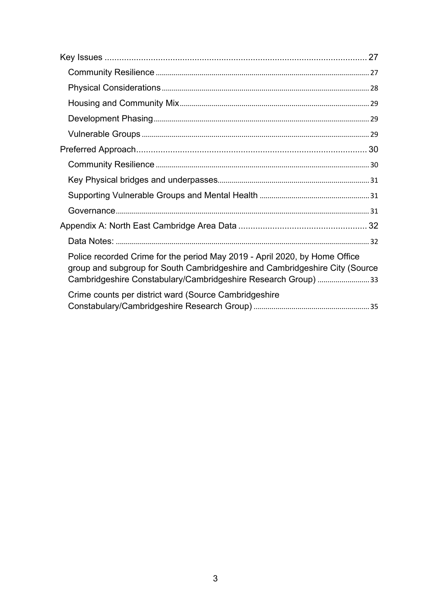| Police recorded Crime for the period May 2019 - April 2020, by Home Office<br>group and subgroup for South Cambridgeshire and Cambridgeshire City (Source<br>Cambridgeshire Constabulary/Cambridgeshire Research Group) 33 |
|----------------------------------------------------------------------------------------------------------------------------------------------------------------------------------------------------------------------------|
| Crime counts per district ward (Source Cambridgeshire                                                                                                                                                                      |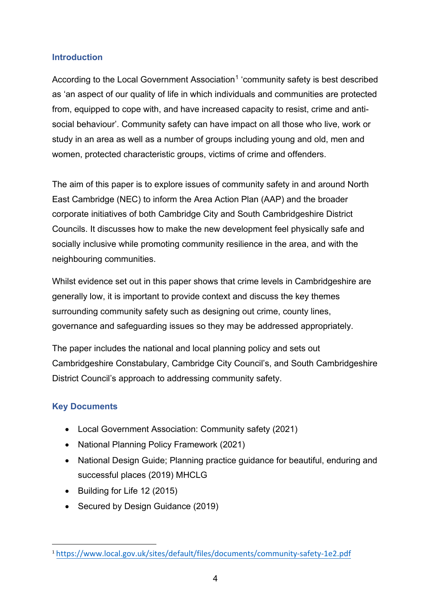#### <span id="page-3-0"></span>**Introduction**

According to the Local Government Association<sup>1</sup> 'community safety is best described as 'an aspect of our quality of life in which individuals and communities are protected from, equipped to cope with, and have increased capacity to resist, crime and antisocial behaviour'. Community safety can have impact on all those who live, work or study in an area as well as a number of groups including young and old, men and women, protected characteristic groups, victims of crime and offenders.

The aim of this paper is to explore issues of community safety in and around North East Cambridge (NEC) to inform the Area Action Plan (AAP) and the broader corporate initiatives of both Cambridge City and South Cambridgeshire District Councils. It discusses how to make the new development feel physically safe and socially inclusive while promoting community resilience in the area, and with the neighbouring communities.

Whilst evidence set out in this paper shows that crime levels in Cambridgeshire are generally low, it is important to provide context and discuss the key themes surrounding community safety such as designing out crime, county lines, governance and safeguarding issues so they may be addressed appropriately.

The paper includes the national and local planning policy and sets out Cambridgeshire Constabulary, Cambridge City Council's, and South Cambridgeshire District Council's approach to addressing community safety.

#### <span id="page-3-1"></span>**Key Documents**

- Local Government Association: Community safety (2021)
- National Planning Policy Framework (2021)
- National Design Guide; Planning practice guidance for beautiful, enduring and successful places (2019) MHCLG
- Building for Life 12 (2015)
- Secured by Design Guidance (2019)

<span id="page-3-2"></span><sup>1</sup> [https://www.local.gov.uk/sites/default/files/documents/community-sa](https://www.local.gov.uk/sites/default/files/documents/community-safety-1e2.pdf)fety-1e2.pdf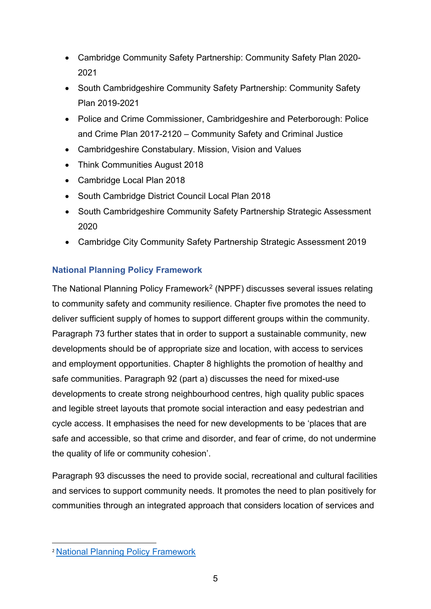- Cambridge Community Safety Partnership: Community Safety Plan 2020- 2021
- South Cambridgeshire Community Safety Partnership: Community Safety Plan 2019-2021
- Police and Crime Commissioner, Cambridgeshire and Peterborough: Police and Crime Plan 2017-2120 – Community Safety and Criminal Justice
- Cambridgeshire Constabulary. Mission, Vision and Values
- Think Communities August 2018
- Cambridge Local Plan 2018
- South Cambridge District Council Local Plan 2018
- South Cambridgeshire Community Safety Partnership Strategic Assessment 2020
- Cambridge City Community Safety Partnership Strategic Assessment 2019

#### <span id="page-4-0"></span>**National Planning Policy Framework**

The National Planning Policy Framework<sup>[2](#page-4-1)</sup> (NPPF) discusses several issues relating to community safety and community resilience. Chapter five promotes the need to deliver sufficient supply of homes to support different groups within the community. Paragraph 73 further states that in order to support a sustainable community, new developments should be of appropriate size and location, with access to services and employment opportunities. Chapter 8 highlights the promotion of healthy and safe communities. Paragraph 92 (part a) discusses the need for mixed-use developments to create strong neighbourhood centres, high quality public spaces and legible street layouts that promote social interaction and easy pedestrian and cycle access. It emphasises the need for new developments to be 'places that are safe and accessible, so that crime and disorder, and fear of crime, do not undermine the quality of life or community cohesion'.

Paragraph 93 discusses the need to provide social, recreational and cultural facilities and services to support community needs. It promotes the need to plan positively for communities through an integrated approach that considers location of services and

<span id="page-4-1"></span><sup>2</sup> [National Planning Policy Framework](https://www.gov.uk/government/publications/national-planning-policy-framework--2)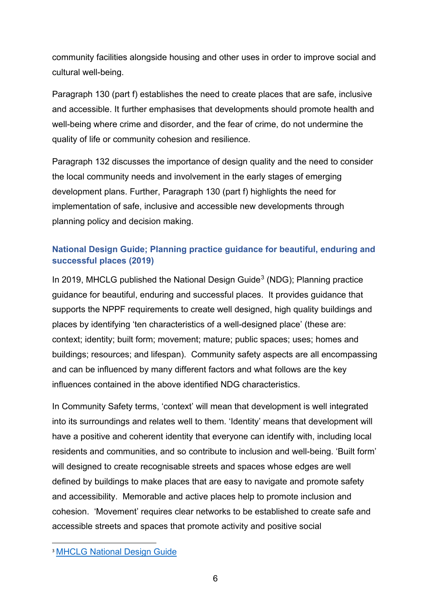community facilities alongside housing and other uses in order to improve social and cultural well-being.

Paragraph 130 (part f) establishes the need to create places that are safe, inclusive and accessible. It further emphasises that developments should promote health and well-being where crime and disorder, and the fear of crime, do not undermine the quality of life or community cohesion and resilience.

Paragraph 132 discusses the importance of design quality and the need to consider the local community needs and involvement in the early stages of emerging development plans. Further, Paragraph 130 (part f) highlights the need for implementation of safe, inclusive and accessible new developments through planning policy and decision making.

# <span id="page-5-0"></span>**National Design Guide; Planning practice guidance for beautiful, enduring and successful places (2019)**

In 2019, MHCLG published the National Design Guide<sup>[3](#page-5-1)</sup> (NDG); Planning practice guidance for beautiful, enduring and successful places. It provides guidance that supports the NPPF requirements to create well designed, high quality buildings and places by identifying 'ten characteristics of a well-designed place' (these are: context; identity; built form; movement; mature; public spaces; uses; homes and buildings; resources; and lifespan). Community safety aspects are all encompassing and can be influenced by many different factors and what follows are the key influences contained in the above identified NDG characteristics.

In Community Safety terms, 'context' will mean that development is well integrated into its surroundings and relates well to them. 'Identity' means that development will have a positive and coherent identity that everyone can identify with, including local residents and communities, and so contribute to inclusion and well-being. 'Built form' will designed to create recognisable streets and spaces whose edges are well defined by buildings to make places that are easy to navigate and promote safety and accessibility. Memorable and active places help to promote inclusion and cohesion. 'Movement' requires clear networks to be established to create safe and accessible streets and spaces that promote activity and positive social

<span id="page-5-1"></span>**<sup>3</sup> [MHCLG National Design Guide](https://www.gov.uk/government/publications/national-design-guide)**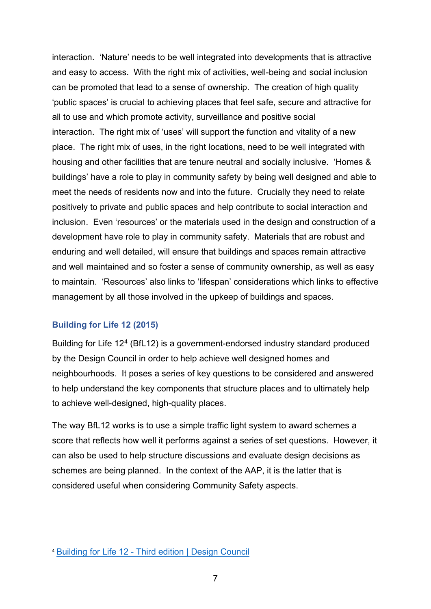interaction. 'Nature' needs to be well integrated into developments that is attractive and easy to access. With the right mix of activities, well-being and social inclusion can be promoted that lead to a sense of ownership. The creation of high quality 'public spaces' is crucial to achieving places that feel safe, secure and attractive for all to use and which promote activity, surveillance and positive social interaction. The right mix of 'uses' will support the function and vitality of a new place. The right mix of uses, in the right locations, need to be well integrated with housing and other facilities that are tenure neutral and socially inclusive. 'Homes & buildings' have a role to play in community safety by being well designed and able to meet the needs of residents now and into the future. Crucially they need to relate positively to private and public spaces and help contribute to social interaction and inclusion. Even 'resources' or the materials used in the design and construction of a development have role to play in community safety. Materials that are robust and enduring and well detailed, will ensure that buildings and spaces remain attractive and well maintained and so foster a sense of community ownership, as well as easy to maintain. 'Resources' also links to 'lifespan' considerations which links to effective management by all those involved in the upkeep of buildings and spaces.

#### <span id="page-6-0"></span>**Building for Life 12 (2015)**

Building for Life 12[4](#page-6-1) (BfL12) is a government-endorsed industry standard produced by the Design Council in order to help achieve well designed homes and neighbourhoods. It poses a series of key questions to be considered and answered to help understand the key components that structure places and to ultimately help to achieve well-designed, high-quality places.

The way BfL12 works is to use a simple traffic light system to award schemes a score that reflects how well it performs against a series of set questions. However, it can also be used to help structure discussions and evaluate design decisions as schemes are being planned. In the context of the AAP, it is the latter that is considered useful when considering Community Safety aspects.

<span id="page-6-1"></span><sup>4</sup> [Building for Life 12 - Third edition | Design Council](https://www.designcouncil.org.uk/resources/guide/building-life-12-third-edition)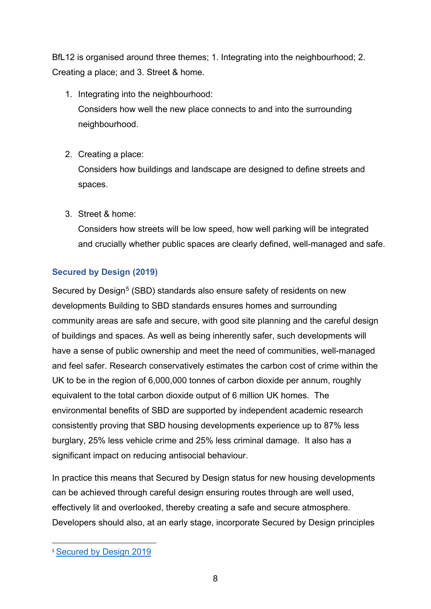BfL12 is organised around three themes; 1. Integrating into the neighbourhood; 2. Creating a place; and 3. Street & home.

- 1. Integrating into the neighbourhood: Considers how well the new place connects to and into the surrounding neighbourhood.
- 2. Creating a place:

Considers how buildings and landscape are designed to define streets and spaces.

3. Street & home:

Considers how streets will be low speed, how well parking will be integrated and crucially whether public spaces are clearly defined, well-managed and safe.

## <span id="page-7-0"></span>**Secured by Design (2019)**

Secured by Design<sup>[5](#page-7-1)</sup> (SBD) standards also ensure safety of residents on new developments Building to SBD standards ensures homes and surrounding community areas are safe and secure, with good site planning and the careful design of buildings and spaces. As well as being inherently safer, such developments will have a sense of public ownership and meet the need of communities, well-managed and feel safer. Research conservatively estimates the carbon cost of crime within the UK to be in the region of 6,000,000 tonnes of carbon dioxide per annum, roughly equivalent to the total carbon dioxide output of 6 million UK homes. The environmental benefits of SBD are supported by independent academic research consistently proving that SBD housing developments experience up to 87% less burglary, 25% less vehicle crime and 25% less criminal damage. It also has a significant impact on reducing antisocial behaviour.

In practice this means that Secured by Design status for new housing developments can be achieved through careful design ensuring routes through are well used, effectively lit and overlooked, thereby creating a safe and secure atmosphere. Developers should also, at an early stage, incorporate Secured by Design principles

<span id="page-7-1"></span><sup>5</sup> [Secured by Design 2019](https://www.securedbydesign.com/images/downloads/HOMES_BROCHURE_2019_update_May.pdf)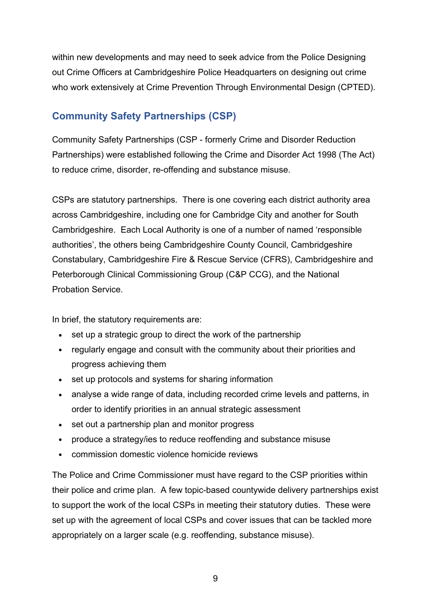within new developments and may need to seek advice from the Police Designing out Crime Officers at Cambridgeshire Police Headquarters on designing out crime who work extensively at Crime Prevention Through Environmental Design (CPTED).

# <span id="page-8-0"></span>**Community Safety Partnerships (CSP)**

Community Safety Partnerships (CSP - formerly Crime and Disorder Reduction Partnerships) were established following the Crime and Disorder Act 1998 (The Act) to reduce crime, disorder, re-offending and substance misuse.

CSPs are statutory partnerships. There is one covering each district authority area across Cambridgeshire, including one for Cambridge City and another for South Cambridgeshire. Each Local Authority is one of a number of named 'responsible authorities', the others being Cambridgeshire County Council, Cambridgeshire Constabulary, Cambridgeshire Fire & Rescue Service (CFRS), Cambridgeshire and Peterborough Clinical Commissioning Group (C&P CCG), and the National Probation Service.

In brief, the statutory requirements are:

- set up a strategic group to direct the work of the partnership
- regularly engage and consult with the community about their priorities and progress achieving them
- set up protocols and systems for sharing information
- analyse a wide range of data, including recorded crime levels and patterns, in order to identify priorities in an annual strategic assessment
- set out a partnership plan and monitor progress
- produce a strategy/ies to reduce reoffending and substance misuse
- commission domestic violence homicide reviews

The Police and Crime Commissioner must have regard to the CSP priorities within their police and crime plan. A few topic-based countywide delivery partnerships exist to support the work of the local CSPs in meeting their statutory duties. These were set up with the agreement of local CSPs and cover issues that can be tackled more appropriately on a larger scale (e.g. reoffending, substance misuse).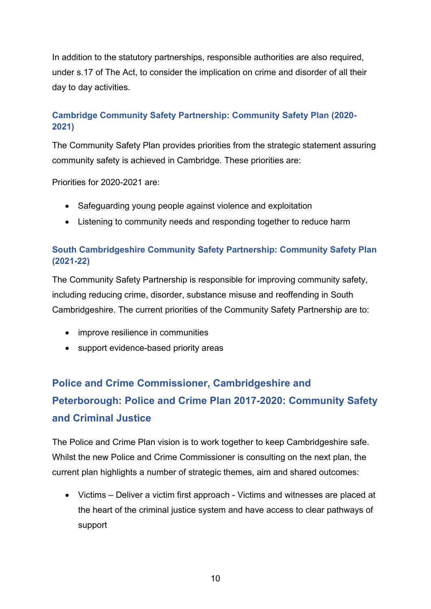In addition to the statutory partnerships, responsible authorities are also required, under s.17 of The Act, to consider the implication on crime and disorder of all their day to day activities.

#### <span id="page-9-0"></span>**Cambridge Community Safety Partnership: Community Safety Plan (2020- 2021)**

The Community Safety Plan provides priorities from the strategic statement assuring community safety is achieved in Cambridge. These priorities are:

Priorities for 2020-2021 are:

- Safeguarding young people against violence and exploitation
- Listening to community needs and responding together to reduce harm

#### <span id="page-9-1"></span>**South Cambridgeshire Community Safety Partnership: Community Safety Plan (2021-22)**

The Community Safety Partnership is responsible for improving community safety, including reducing crime, disorder, substance misuse and reoffending in South Cambridgeshire. The current priorities of the Community Safety Partnership are to:

- improve resilience in communities
- support evidence-based priority areas

# <span id="page-9-2"></span>**Police and Crime Commissioner, Cambridgeshire and Peterborough: Police and Crime Plan 2017-2020: Community Safety and Criminal Justice**

The Police and Crime Plan vision is to work together to keep Cambridgeshire safe. Whilst the new Police and Crime Commissioner is consulting on the next plan, the current plan highlights a number of strategic themes, aim and shared outcomes:

• Victims – Deliver a victim first approach - Victims and witnesses are placed at the heart of the criminal justice system and have access to clear pathways of support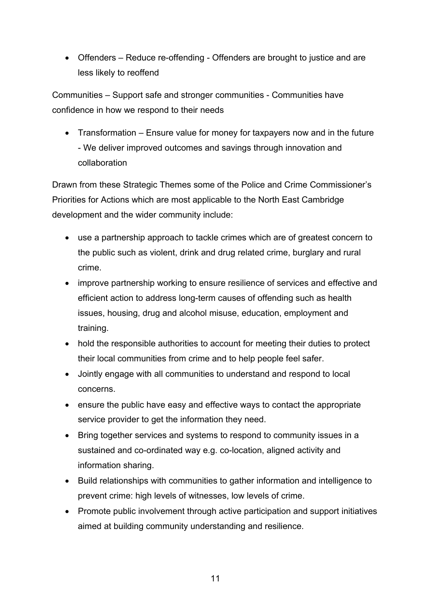• Offenders – Reduce re-offending - Offenders are brought to justice and are less likely to reoffend

Communities – Support safe and stronger communities - Communities have confidence in how we respond to their needs

• Transformation – Ensure value for money for taxpayers now and in the future - We deliver improved outcomes and savings through innovation and collaboration

Drawn from these Strategic Themes some of the Police and Crime Commissioner's Priorities for Actions which are most applicable to the North East Cambridge development and the wider community include:

- use a partnership approach to tackle crimes which are of greatest concern to the public such as violent, drink and drug related crime, burglary and rural crime.
- improve partnership working to ensure resilience of services and effective and efficient action to address long-term causes of offending such as health issues, housing, drug and alcohol misuse, education, employment and training.
- hold the responsible authorities to account for meeting their duties to protect their local communities from crime and to help people feel safer.
- Jointly engage with all communities to understand and respond to local concerns.
- ensure the public have easy and effective ways to contact the appropriate service provider to get the information they need.
- Bring together services and systems to respond to community issues in a sustained and co-ordinated way e.g. co-location, aligned activity and information sharing.
- Build relationships with communities to gather information and intelligence to prevent crime: high levels of witnesses, low levels of crime.
- Promote public involvement through active participation and support initiatives aimed at building community understanding and resilience.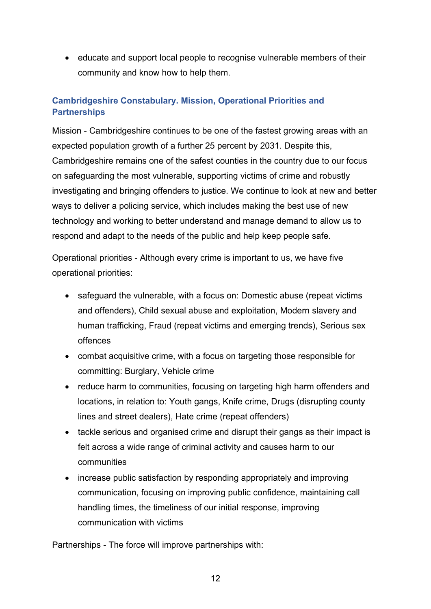• educate and support local people to recognise vulnerable members of their community and know how to help them.

# <span id="page-11-0"></span>**Cambridgeshire Constabulary. Mission, Operational Priorities and Partnerships**

Mission - Cambridgeshire continues to be one of the fastest growing areas with an expected population growth of a further 25 percent by 2031. Despite this, Cambridgeshire remains one of the safest counties in the country due to our focus on safeguarding the most vulnerable, supporting victims of crime and robustly investigating and bringing offenders to justice. We continue to look at new and better ways to deliver a policing service, which includes making the best use of new technology and working to better understand and manage demand to allow us to respond and adapt to the needs of the public and help keep people safe.

Operational priorities - Although every crime is important to us, we have five operational priorities:

- safeguard the vulnerable, with a focus on: Domestic abuse (repeat victims and offenders), Child sexual abuse and exploitation, Modern slavery and human trafficking, Fraud (repeat victims and emerging trends), Serious sex offences
- combat acquisitive crime, with a focus on targeting those responsible for committing: Burglary, Vehicle crime
- reduce harm to communities, focusing on targeting high harm offenders and locations, in relation to: Youth gangs, Knife crime, Drugs (disrupting county lines and street dealers), Hate crime (repeat offenders)
- tackle serious and organised crime and disrupt their gangs as their impact is felt across a wide range of criminal activity and causes harm to our communities
- increase public satisfaction by responding appropriately and improving communication, focusing on improving public confidence, maintaining call handling times, the timeliness of our initial response, improving communication with victims

Partnerships - The force will improve partnerships with: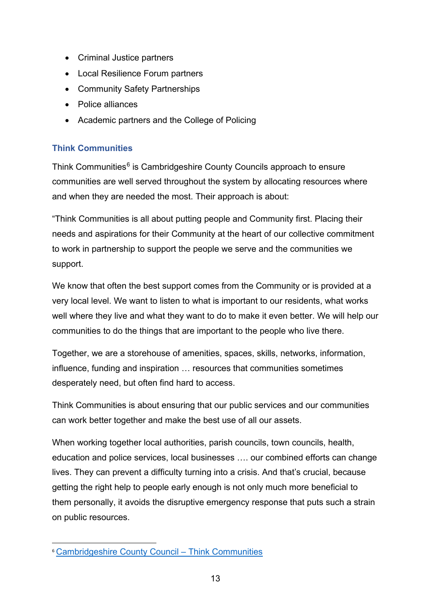- Criminal Justice partners
- Local Resilience Forum partners
- Community Safety Partnerships
- Police alliances
- Academic partners and the College of Policing

#### <span id="page-12-0"></span>**Think Communities**

Think Communities $6$  is Cambridgeshire County Councils approach to ensure communities are well served throughout the system by allocating resources where and when they are needed the most. Their approach is about:

"Think Communities is all about putting people and Community first. Placing their needs and aspirations for their Community at the heart of our collective commitment to work in partnership to support the people we serve and the communities we support.

We know that often the best support comes from the Community or is provided at a very local level. We want to listen to what is important to our residents, what works well where they live and what they want to do to make it even better. We will help our communities to do the things that are important to the people who live there.

Together, we are a storehouse of amenities, spaces, skills, networks, information, influence, funding and inspiration … resources that communities sometimes desperately need, but often find hard to access.

Think Communities is about ensuring that our public services and our communities can work better together and make the best use of all our assets.

When working together local authorities, parish councils, town councils, health, education and police services, local businesses …. our combined efforts can change lives. They can prevent a difficulty turning into a crisis. And that's crucial, because getting the right help to people early enough is not only much more beneficial to them personally, it avoids the disruptive emergency response that puts such a strain on public resources.

<span id="page-12-1"></span><sup>6</sup> [Cambridgeshire County Council – Think Communities](https://ce0631li.webitrent.com/ce0631li_ess/ess/index.html#/summary/absence)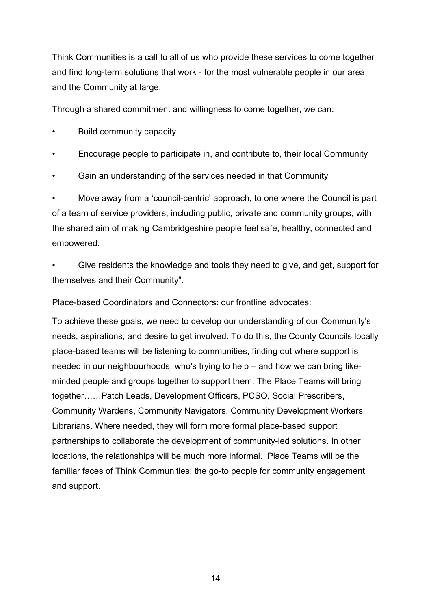Think Communities is a call to all of us who provide these services to come together and find long-term solutions that work - for the most vulnerable people in our area and the Community at large.

Through a shared commitment and willingness to come together, we can:

- Build community capacity
- Encourage people to participate in, and contribute to, their local Community
- Gain an understanding of the services needed in that Community

• Move away from a 'council-centric' approach, to one where the Council is part of a team of service providers, including public, private and community groups, with the shared aim of making Cambridgeshire people feel safe, healthy, connected and empowered.

• Give residents the knowledge and tools they need to give, and get, support for themselves and their Community".

Place-based Coordinators and Connectors: our frontline advocates:

To achieve these goals, we need to develop our understanding of our Community's needs, aspirations, and desire to get involved. To do this, the County Councils locally place-based teams will be listening to communities, finding out where support is needed in our neighbourhoods, who's trying to help – and how we can bring likeminded people and groups together to support them. The Place Teams will bring together……Patch Leads, Development Officers, PCSO, Social Prescribers, Community Wardens, Community Navigators, Community Development Workers, Librarians. Where needed, they will form more formal place-based support partnerships to collaborate the development of community-led solutions. In other locations, the relationships will be much more informal. Place Teams will be the familiar faces of Think Communities: the go-to people for community engagement and support.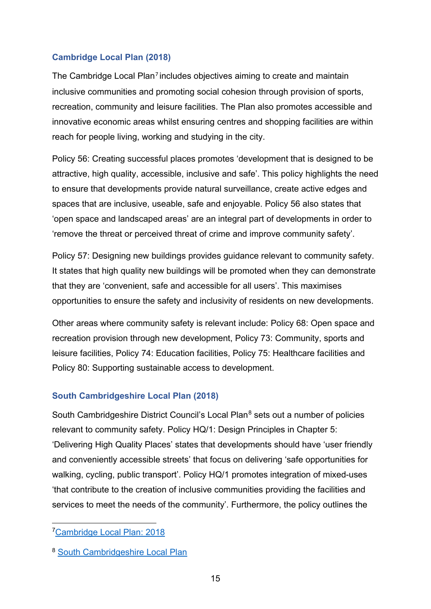#### <span id="page-14-0"></span>**Cambridge Local Plan (2018)**

The Cambridge Local Plan<sup>[7](#page-14-2)</sup> includes objectives aiming to create and maintain inclusive communities and promoting social cohesion through provision of sports, recreation, community and leisure facilities. The Plan also promotes accessible and innovative economic areas whilst ensuring centres and shopping facilities are within reach for people living, working and studying in the city.

Policy 56: Creating successful places promotes 'development that is designed to be attractive, high quality, accessible, inclusive and safe'. This policy highlights the need to ensure that developments provide natural surveillance, create active edges and spaces that are inclusive, useable, safe and enjoyable. Policy 56 also states that 'open space and landscaped areas' are an integral part of developments in order to 'remove the threat or perceived threat of crime and improve community safety'.

Policy 57: Designing new buildings provides guidance relevant to community safety. It states that high quality new buildings will be promoted when they can demonstrate that they are 'convenient, safe and accessible for all users'. This maximises opportunities to ensure the safety and inclusivity of residents on new developments.

Other areas where community safety is relevant include: Policy 68: Open space and recreation provision through new development, Policy 73: Community, sports and leisure facilities, Policy 74: Education facilities, Policy 75: Healthcare facilities and Policy 80: Supporting sustainable access to development.

#### <span id="page-14-1"></span>**South Cambridgeshire Local Plan (2018)**

South Cambridgeshire District Council's Local Plan<sup>[8](#page-14-3)</sup> sets out a number of policies relevant to community safety. Policy HQ/1: Design Principles in Chapter 5: 'Delivering High Quality Places' states that developments should have 'user friendly and conveniently accessible streets' that focus on delivering 'safe opportunities for walking, cycling, public transport'. Policy HQ/1 promotes integration of mixed-uses 'that contribute to the creation of inclusive communities providing the facilities and services to meet the needs of the community'. Furthermore, the policy outlines the

<span id="page-14-2"></span>[<sup>7</sup>Cambridge Local Plan: 2018](https://www.cambridge.gov.uk/media/6890/local-plan-2018.pdf)

<span id="page-14-3"></span><sup>8</sup> [South Cambridgeshire Local Plan](https://www.scambs.gov.uk/media/12740/south-cambridgeshire-adopted-local-plan-270918_sml.pdf)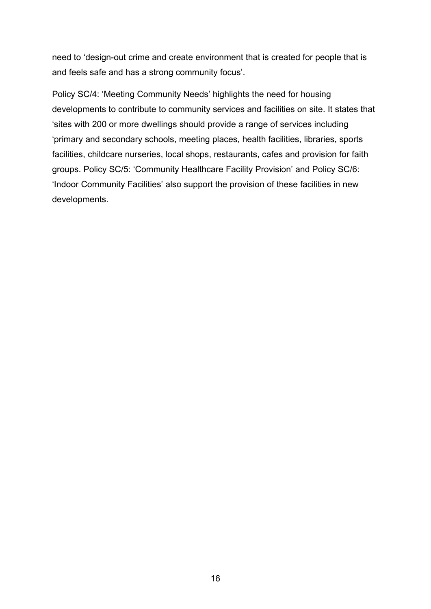need to 'design-out crime and create environment that is created for people that is and feels safe and has a strong community focus'.

Policy SC/4: 'Meeting Community Needs' highlights the need for housing developments to contribute to community services and facilities on site. It states that 'sites with 200 or more dwellings should provide a range of services including 'primary and secondary schools, meeting places, health facilities, libraries, sports facilities, childcare nurseries, local shops, restaurants, cafes and provision for faith groups. Policy SC/5: 'Community Healthcare Facility Provision' and Policy SC/6: 'Indoor Community Facilities' also support the provision of these facilities in new developments.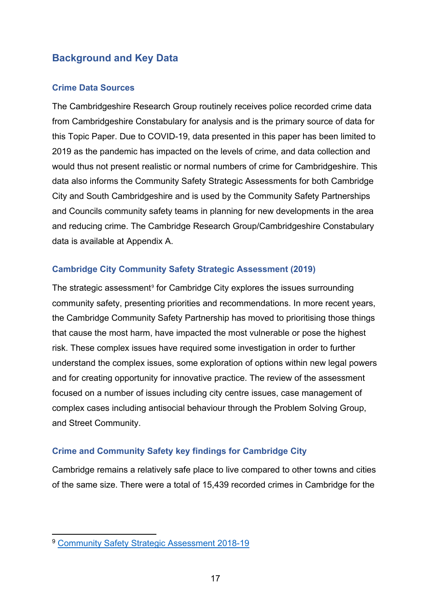# <span id="page-16-0"></span>**Background and Key Data**

#### <span id="page-16-1"></span>**Crime Data Sources**

The Cambridgeshire Research Group routinely receives police recorded crime data from Cambridgeshire Constabulary for analysis and is the primary source of data for this Topic Paper. Due to COVID-19, data presented in this paper has been limited to 2019 as the pandemic has impacted on the levels of crime, and data collection and would thus not present realistic or normal numbers of crime for Cambridgeshire. This data also informs the Community Safety Strategic Assessments for both Cambridge City and South Cambridgeshire and is used by the Community Safety Partnerships and Councils community safety teams in planning for new developments in the area and reducing crime. The Cambridge Research Group/Cambridgeshire Constabulary data is available at Appendix A.

#### <span id="page-16-2"></span>**Cambridge City Community Safety Strategic Assessment (2019)**

The strategic assessment<sup>[9](#page-16-4)</sup> for Cambridge City explores the issues surrounding community safety, presenting priorities and recommendations. In more recent years, the Cambridge Community Safety Partnership has moved to prioritising those things that cause the most harm, have impacted the most vulnerable or pose the highest risk. These complex issues have required some investigation in order to further understand the complex issues, some exploration of options within new legal powers and for creating opportunity for innovative practice. The review of the assessment focused on a number of issues including city centre issues, case management of complex cases including antisocial behaviour through the Problem Solving Group, and Street Community.

#### <span id="page-16-3"></span>**Crime and Community Safety key findings for Cambridge City**

Cambridge remains a relatively safe place to live compared to other towns and cities of the same size. There were a total of 15,439 recorded crimes in Cambridge for the

<span id="page-16-4"></span><sup>9</sup> [Community Safety Strategic Assessment 2018-19](https://www.cambridge.gov.uk/media/7774/community-safety-strategic-assessment-2018-19-review.pdf)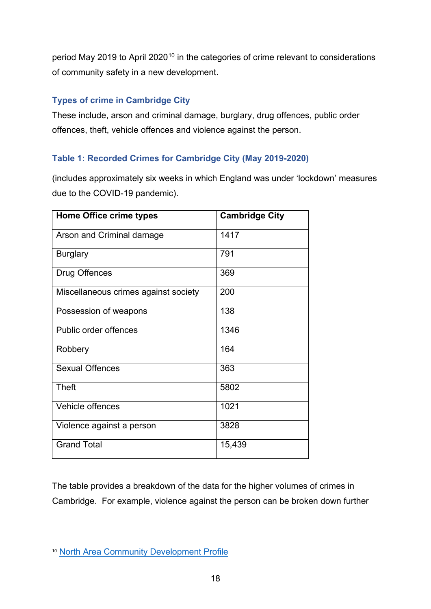period May 2019 to April 2020<sup>[10](#page-17-0)</sup> in the categories of crime relevant to considerations of community safety in a new development.

#### **Types of crime in Cambridge City**

These include, arson and criminal damage, burglary, drug offences, public order offences, theft, vehicle offences and violence against the person.

## **Table 1: Recorded Crimes for Cambridge City (May 2019-2020)**

(includes approximately six weeks in which England was under 'lockdown' measures due to the COVID-19 pandemic).

| <b>Home Office crime types</b>       | <b>Cambridge City</b> |
|--------------------------------------|-----------------------|
| Arson and Criminal damage            | 1417                  |
| <b>Burglary</b>                      | 791                   |
| <b>Drug Offences</b>                 | 369                   |
| Miscellaneous crimes against society | 200                   |
| Possession of weapons                | 138                   |
| <b>Public order offences</b>         | 1346                  |
| Robbery                              | 164                   |
| <b>Sexual Offences</b>               | 363                   |
| Theft                                | 5802                  |
| Vehicle offences                     | 1021                  |
| Violence against a person            | 3828                  |
| <b>Grand Total</b>                   | 15,439                |

The table provides a breakdown of the data for the higher volumes of crimes in Cambridge. For example, violence against the person can be broken down further

<span id="page-17-0"></span><sup>10</sup> [North Area Community Development Profile](https://www.cambridge.gov.uk/media/7753/north-area-community-development-profile.pdf)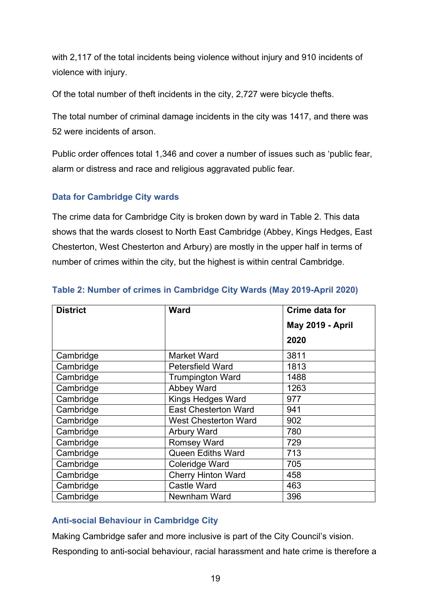with 2,117 of the total incidents being violence without injury and 910 incidents of violence with injury.

Of the total number of theft incidents in the city, 2,727 were bicycle thefts.

The total number of criminal damage incidents in the city was 1417, and there was 52 were incidents of arson.

Public order offences total 1,346 and cover a number of issues such as 'public fear, alarm or distress and race and religious aggravated public fear.

#### **Data for Cambridge City wards**

The crime data for Cambridge City is broken down by ward in Table 2. This data shows that the wards closest to North East Cambridge (Abbey, Kings Hedges, East Chesterton, West Chesterton and Arbury) are mostly in the upper half in terms of number of crimes within the city, but the highest is within central Cambridge.

| <b>District</b> | <b>Ward</b>                 | Crime data for   |
|-----------------|-----------------------------|------------------|
|                 |                             | May 2019 - April |
|                 |                             | 2020             |
| Cambridge       | Market Ward                 | 3811             |
| Cambridge       | <b>Petersfield Ward</b>     | 1813             |
| Cambridge       | <b>Trumpington Ward</b>     | 1488             |
| Cambridge       | <b>Abbey Ward</b>           | 1263             |
| Cambridge       | <b>Kings Hedges Ward</b>    | 977              |
| Cambridge       | <b>East Chesterton Ward</b> | 941              |
| Cambridge       | <b>West Chesterton Ward</b> | 902              |
| Cambridge       | <b>Arbury Ward</b>          | 780              |
| Cambridge       | <b>Romsey Ward</b>          | 729              |
| Cambridge       | <b>Queen Ediths Ward</b>    | 713              |
| Cambridge       | <b>Coleridge Ward</b>       | 705              |
| Cambridge       | <b>Cherry Hinton Ward</b>   | 458              |
| Cambridge       | <b>Castle Ward</b>          | 463              |
| Cambridge       | Newnham Ward                | 396              |

#### **Table 2: Number of crimes in Cambridge City Wards (May 2019-April 2020)**

#### **Anti-social Behaviour in Cambridge City**

Making Cambridge safer and more inclusive is part of the City Council's vision.

Responding to anti-social behaviour, racial harassment and hate crime is therefore a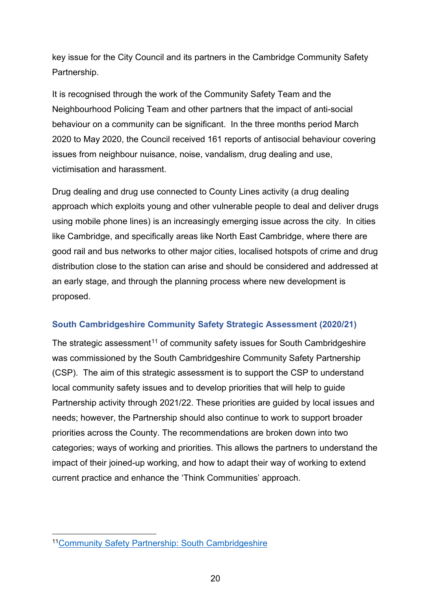key issue for the City Council and its partners in the Cambridge Community Safety Partnership.

It is recognised through the work of the Community Safety Team and the Neighbourhood Policing Team and other partners that the impact of anti-social behaviour on a community can be significant. In the three months period March 2020 to May 2020, the Council received 161 reports of antisocial behaviour covering issues from neighbour nuisance, noise, vandalism, drug dealing and use, victimisation and harassment.

Drug dealing and drug use connected to County Lines activity (a drug dealing approach which exploits young and other vulnerable people to deal and deliver drugs using mobile phone lines) is an increasingly emerging issue across the city. In cities like Cambridge, and specifically areas like North East Cambridge, where there are good rail and bus networks to other major cities, localised hotspots of crime and drug distribution close to the station can arise and should be considered and addressed at an early stage, and through the planning process where new development is proposed.

#### <span id="page-19-0"></span>**South Cambridgeshire Community Safety Strategic Assessment (2020/21)**

The strategic assessment<sup>[11](#page-19-1)</sup> of community safety issues for South Cambridgeshire was commissioned by the South Cambridgeshire Community Safety Partnership (CSP). The aim of this strategic assessment is to support the CSP to understand local community safety issues and to develop priorities that will help to guide Partnership activity through 2021/22. These priorities are guided by local issues and needs; however, the Partnership should also continue to work to support broader priorities across the County. The recommendations are broken down into two categories; ways of working and priorities. This allows the partners to understand the impact of their joined-up working, and how to adapt their way of working to extend current practice and enhance the 'Think Communities' approach.

<span id="page-19-1"></span><sup>1</sup>[1Community Safety Partnership: South Cambridgeshire](https://cambridgeshireinsight.org.uk/communitysafety/community-safety-partnerships/south-cambridgeshire/%20https:/cambridgeshireinsight.org.uk/communitysafety/community-safety-partnerships/south-cambridgeshire/)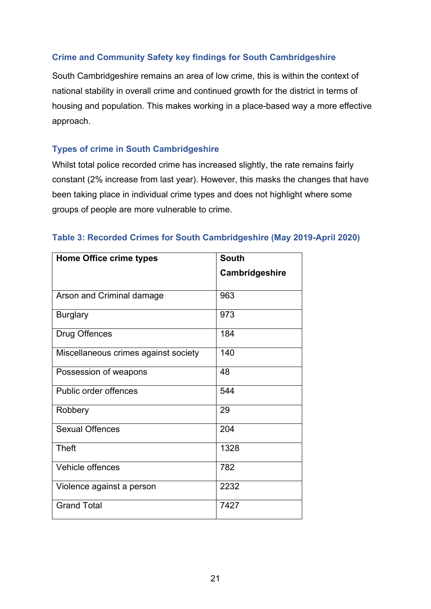#### <span id="page-20-0"></span>**Crime and Community Safety key findings for South Cambridgeshire**

South Cambridgeshire remains an area of low crime, this is within the context of national stability in overall crime and continued growth for the district in terms of housing and population. This makes working in a place-based way a more effective approach.

#### **Types of crime in South Cambridgeshire**

Whilst total police recorded crime has increased slightly, the rate remains fairly constant (2% increase from last year). However, this masks the changes that have been taking place in individual crime types and does not highlight where some groups of people are more vulnerable to crime.

| <b>Home Office crime types</b>       | <b>South</b>   |
|--------------------------------------|----------------|
|                                      | Cambridgeshire |
| Arson and Criminal damage            | 963            |
| <b>Burglary</b>                      | 973            |
| Drug Offences                        | 184            |
| Miscellaneous crimes against society | 140            |
| Possession of weapons                | 48             |
| Public order offences                | 544            |
| Robbery                              | 29             |
| <b>Sexual Offences</b>               | 204            |
| <b>Theft</b>                         | 1328           |
| Vehicle offences                     | 782            |
| Violence against a person            | 2232           |
| <b>Grand Total</b>                   | 7427           |

#### **Table 3: Recorded Crimes for South Cambridgeshire (May 2019-April 2020)**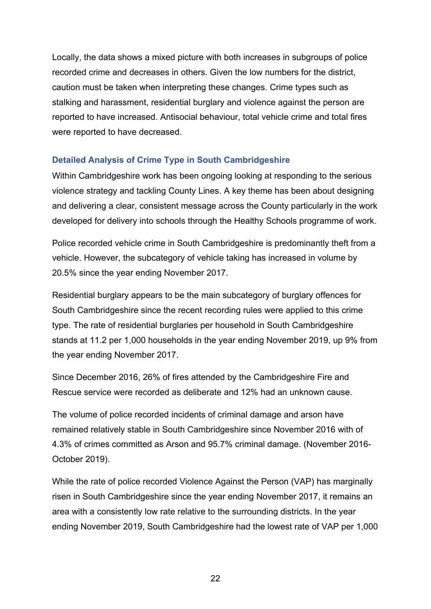Locally, the data shows a mixed picture with both increases in subgroups of police recorded crime and decreases in others. Given the low numbers for the district, caution must be taken when interpreting these changes. Crime types such as stalking and harassment, residential burglary and violence against the person are reported to have increased. Antisocial behaviour, total vehicle crime and total fires were reported to have decreased.

#### **Detailed Analysis of Crime Type in South Cambridgeshire**

Within Cambridgeshire work has been ongoing looking at responding to the serious violence strategy and tackling County Lines. A key theme has been about designing and delivering a clear, consistent message across the County particularly in the work developed for delivery into schools through the Healthy Schools programme of work.

Police recorded vehicle crime in South Cambridgeshire is predominantly theft from a vehicle. However, the subcategory of vehicle taking has increased in volume by 20.5% since the year ending November 2017.

Residential burglary appears to be the main subcategory of burglary offences for South Cambridgeshire since the recent recording rules were applied to this crime type. The rate of residential burglaries per household in South Cambridgeshire stands at 11.2 per 1,000 households in the year ending November 2019, up 9% from the year ending November 2017.

Since December 2016, 26% of fires attended by the Cambridgeshire Fire and Rescue service were recorded as deliberate and 12% had an unknown cause.

The volume of police recorded incidents of criminal damage and arson have remained relatively stable in South Cambridgeshire since November 2016 with of 4.3% of crimes committed as Arson and 95.7% criminal damage. (November 2016- October 2019).

While the rate of police recorded Violence Against the Person (VAP) has marginally risen in South Cambridgeshire since the year ending November 2017, it remains an area with a consistently low rate relative to the surrounding districts. In the year ending November 2019, South Cambridgeshire had the lowest rate of VAP per 1,000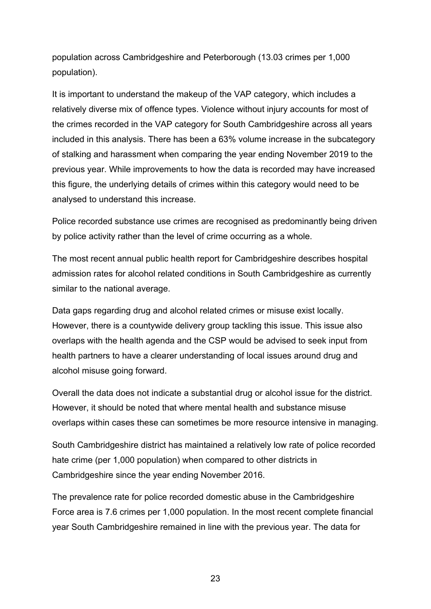population across Cambridgeshire and Peterborough (13.03 crimes per 1,000 population).

It is important to understand the makeup of the VAP category, which includes a relatively diverse mix of offence types. Violence without injury accounts for most of the crimes recorded in the VAP category for South Cambridgeshire across all years included in this analysis. There has been a 63% volume increase in the subcategory of stalking and harassment when comparing the year ending November 2019 to the previous year. While improvements to how the data is recorded may have increased this figure, the underlying details of crimes within this category would need to be analysed to understand this increase.

Police recorded substance use crimes are recognised as predominantly being driven by police activity rather than the level of crime occurring as a whole.

The most recent annual public health report for Cambridgeshire describes hospital admission rates for alcohol related conditions in South Cambridgeshire as currently similar to the national average.

Data gaps regarding drug and alcohol related crimes or misuse exist locally. However, there is a countywide delivery group tackling this issue. This issue also overlaps with the health agenda and the CSP would be advised to seek input from health partners to have a clearer understanding of local issues around drug and alcohol misuse going forward.

Overall the data does not indicate a substantial drug or alcohol issue for the district. However, it should be noted that where mental health and substance misuse overlaps within cases these can sometimes be more resource intensive in managing.

South Cambridgeshire district has maintained a relatively low rate of police recorded hate crime (per 1,000 population) when compared to other districts in Cambridgeshire since the year ending November 2016.

The prevalence rate for police recorded domestic abuse in the Cambridgeshire Force area is 7.6 crimes per 1,000 population. In the most recent complete financial year South Cambridgeshire remained in line with the previous year. The data for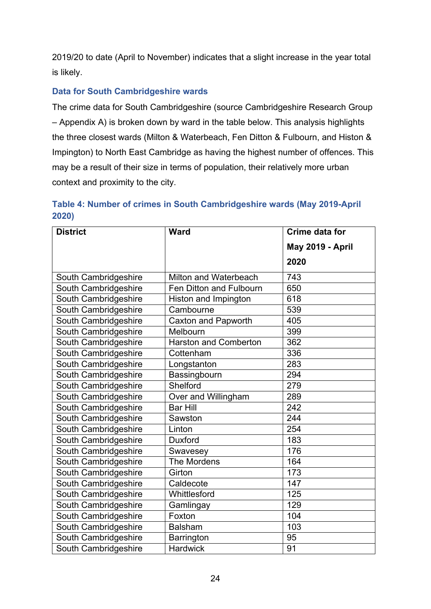2019/20 to date (April to November) indicates that a slight increase in the year total is likely.

#### **Data for South Cambridgeshire wards**

The crime data for South Cambridgeshire (source Cambridgeshire Research Group – Appendix A) is broken down by ward in the table below. This analysis highlights the three closest wards (Milton & Waterbeach, Fen Ditton & Fulbourn, and Histon & Impington) to North East Cambridge as having the highest number of offences. This may be a result of their size in terms of population, their relatively more urban context and proximity to the city.

## **Table 4: Number of crimes in South Cambridgeshire wards (May 2019-April 2020)**

| <b>District</b>      | <b>Ward</b>                  | <b>Crime data for</b> |
|----------------------|------------------------------|-----------------------|
|                      |                              | May 2019 - April      |
|                      |                              | 2020                  |
| South Cambridgeshire | Milton and Waterbeach        | 743                   |
| South Cambridgeshire | Fen Ditton and Fulbourn      | 650                   |
| South Cambridgeshire | Histon and Impington         | 618                   |
| South Cambridgeshire | Cambourne                    | 539                   |
| South Cambridgeshire | <b>Caxton and Papworth</b>   | 405                   |
| South Cambridgeshire | Melbourn                     | 399                   |
| South Cambridgeshire | <b>Harston and Comberton</b> | 362                   |
| South Cambridgeshire | Cottenham                    | 336                   |
| South Cambridgeshire | Longstanton                  | 283                   |
| South Cambridgeshire | Bassingbourn                 | 294                   |
| South Cambridgeshire | <b>Shelford</b>              | 279                   |
| South Cambridgeshire | Over and Willingham          | 289                   |
| South Cambridgeshire | <b>Bar Hill</b>              | 242                   |
| South Cambridgeshire | Sawston                      | 244                   |
| South Cambridgeshire | Linton                       | 254                   |
| South Cambridgeshire | <b>Duxford</b>               | 183                   |
| South Cambridgeshire | Swavesey                     | 176                   |
| South Cambridgeshire | The Mordens                  | 164                   |
| South Cambridgeshire | Girton                       | 173                   |
| South Cambridgeshire | Caldecote                    | 147                   |
| South Cambridgeshire | Whittlesford                 | 125                   |
| South Cambridgeshire | Gamlingay                    | 129                   |
| South Cambridgeshire | Foxton                       | 104                   |
| South Cambridgeshire | <b>Balsham</b>               | 103                   |
| South Cambridgeshire | Barrington                   | $\overline{95}$       |
| South Cambridgeshire | <b>Hardwick</b>              | 91                    |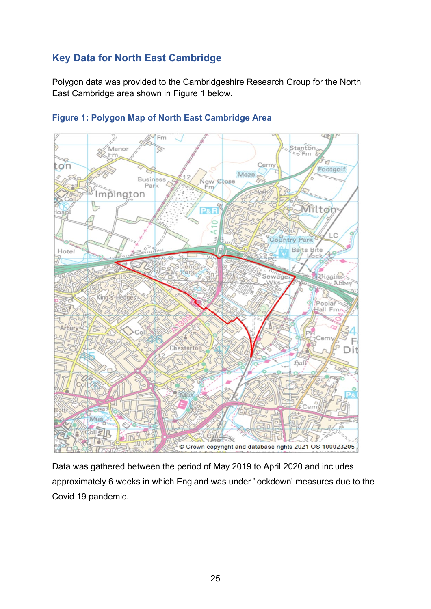# <span id="page-24-0"></span>**Key Data for North East Cambridge**

Polygon data was provided to the Cambridgeshire Research Group for the North East Cambridge area shown in Figure 1 below.



#### <span id="page-24-1"></span>**Figure 1: Polygon Map of North East Cambridge Area**

Data was gathered between the period of May 2019 to April 2020 and includes approximately 6 weeks in which England was under 'lockdown' measures due to the Covid 19 pandemic.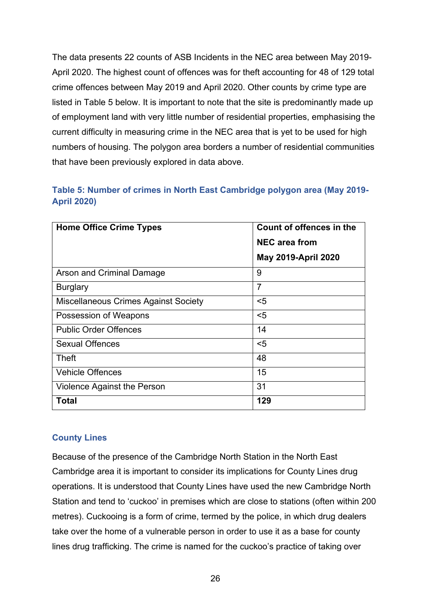The data presents 22 counts of ASB Incidents in the NEC area between May 2019- April 2020. The highest count of offences was for theft accounting for 48 of 129 total crime offences between May 2019 and April 2020. Other counts by crime type are listed in Table 5 below. It is important to note that the site is predominantly made up of employment land with very little number of residential properties, emphasising the current difficulty in measuring crime in the NEC area that is yet to be used for high numbers of housing. The polygon area borders a number of residential communities that have been previously explored in data above.

#### **Table 5: Number of crimes in North East Cambridge polygon area (May 2019- April 2020)**

| <b>Home Office Crime Types</b>              | Count of offences in the |  |
|---------------------------------------------|--------------------------|--|
|                                             | <b>NEC area from</b>     |  |
|                                             | May 2019-April 2020      |  |
| Arson and Criminal Damage                   | 9                        |  |
| <b>Burglary</b>                             | $\overline{7}$           |  |
| <b>Miscellaneous Crimes Against Society</b> | $5$                      |  |
| Possession of Weapons                       | $5$                      |  |
| <b>Public Order Offences</b>                | 14                       |  |
| <b>Sexual Offences</b>                      | $5$                      |  |
| Theft                                       | 48                       |  |
| <b>Vehicle Offences</b>                     | 15                       |  |
| Violence Against the Person                 | 31                       |  |
| Total                                       | 129                      |  |

#### <span id="page-25-0"></span>**County Lines**

Because of the presence of the Cambridge North Station in the North East Cambridge area it is important to consider its implications for County Lines drug operations. It is understood that County Lines have used the new Cambridge North Station and tend to 'cuckoo' in premises which are close to stations (often within 200 metres). Cuckooing is a form of crime, termed by the police, in which drug dealers take over the home of a vulnerable person in order to use it as a base for county lines drug trafficking. The crime is named for the cuckoo's practice of taking over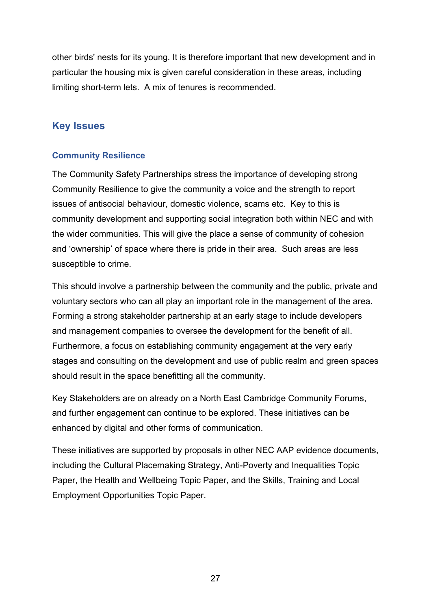other birds' nests for its young. It is therefore important that new development and in particular the housing mix is given careful consideration in these areas, including limiting short-term lets. A mix of tenures is recommended.

# <span id="page-26-0"></span>**Key Issues**

#### <span id="page-26-1"></span>**Community Resilience**

The Community Safety Partnerships stress the importance of developing strong Community Resilience to give the community a voice and the strength to report issues of antisocial behaviour, domestic violence, scams etc. Key to this is community development and supporting social integration both within NEC and with the wider communities. This will give the place a sense of community of cohesion and 'ownership' of space where there is pride in their area. Such areas are less susceptible to crime.

This should involve a partnership between the community and the public, private and voluntary sectors who can all play an important role in the management of the area. Forming a strong stakeholder partnership at an early stage to include developers and management companies to oversee the development for the benefit of all. Furthermore, a focus on establishing community engagement at the very early stages and consulting on the development and use of public realm and green spaces should result in the space benefitting all the community.

Key Stakeholders are on already on a North East Cambridge Community Forums, and further engagement can continue to be explored. These initiatives can be enhanced by digital and other forms of communication.

These initiatives are supported by proposals in other NEC AAP evidence documents, including the Cultural Placemaking Strategy, Anti-Poverty and Inequalities Topic Paper, the Health and Wellbeing Topic Paper, and the Skills, Training and Local Employment Opportunities Topic Paper.

27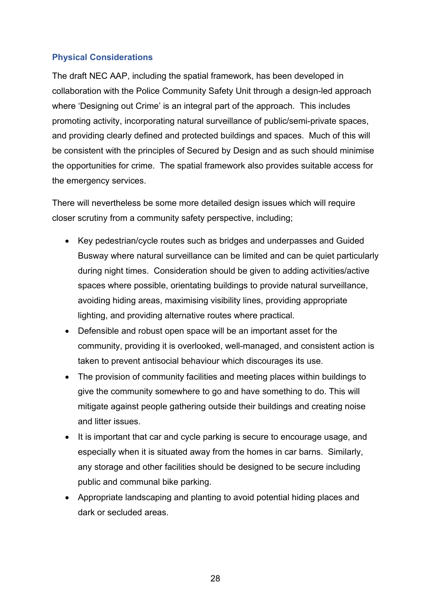#### <span id="page-27-0"></span>**Physical Considerations**

The draft NEC AAP, including the spatial framework, has been developed in collaboration with the Police Community Safety Unit through a design-led approach where 'Designing out Crime' is an integral part of the approach. This includes promoting activity, incorporating natural surveillance of public/semi-private spaces, and providing clearly defined and protected buildings and spaces. Much of this will be consistent with the principles of Secured by Design and as such should minimise the opportunities for crime. The spatial framework also provides suitable access for the emergency services.

There will nevertheless be some more detailed design issues which will require closer scrutiny from a community safety perspective, including;

- Key pedestrian/cycle routes such as bridges and underpasses and Guided Busway where natural surveillance can be limited and can be quiet particularly during night times. Consideration should be given to adding activities/active spaces where possible, orientating buildings to provide natural surveillance, avoiding hiding areas, maximising visibility lines, providing appropriate lighting, and providing alternative routes where practical.
- Defensible and robust open space will be an important asset for the community, providing it is overlooked, well-managed, and consistent action is taken to prevent antisocial behaviour which discourages its use.
- The provision of community facilities and meeting places within buildings to give the community somewhere to go and have something to do. This will mitigate against people gathering outside their buildings and creating noise and litter issues.
- It is important that car and cycle parking is secure to encourage usage, and especially when it is situated away from the homes in car barns. Similarly, any storage and other facilities should be designed to be secure including public and communal bike parking.
- Appropriate landscaping and planting to avoid potential hiding places and dark or secluded areas.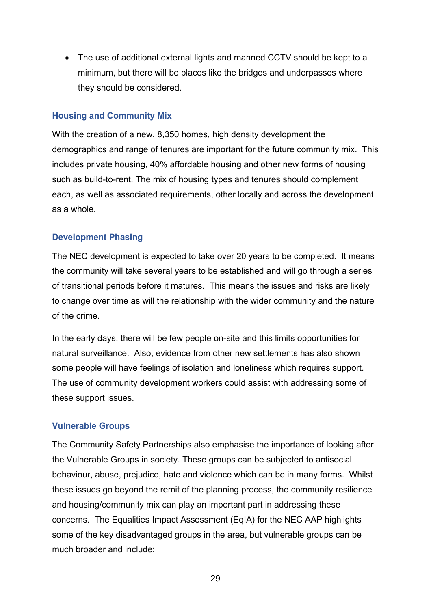• The use of additional external lights and manned CCTV should be kept to a minimum, but there will be places like the bridges and underpasses where they should be considered.

#### <span id="page-28-0"></span>**Housing and Community Mix**

With the creation of a new, 8,350 homes, high density development the demographics and range of tenures are important for the future community mix. This includes private housing, 40% affordable housing and other new forms of housing such as build-to-rent. The mix of housing types and tenures should complement each, as well as associated requirements, other locally and across the development as a whole.

#### <span id="page-28-1"></span>**Development Phasing**

The NEC development is expected to take over 20 years to be completed. It means the community will take several years to be established and will go through a series of transitional periods before it matures. This means the issues and risks are likely to change over time as will the relationship with the wider community and the nature of the crime.

In the early days, there will be few people on-site and this limits opportunities for natural surveillance. Also, evidence from other new settlements has also shown some people will have feelings of isolation and loneliness which requires support. The use of community development workers could assist with addressing some of these support issues.

#### <span id="page-28-2"></span>**Vulnerable Groups**

The Community Safety Partnerships also emphasise the importance of looking after the Vulnerable Groups in society. These groups can be subjected to antisocial behaviour, abuse, prejudice, hate and violence which can be in many forms. Whilst these issues go beyond the remit of the planning process, the community resilience and housing/community mix can play an important part in addressing these concerns. The Equalities Impact Assessment (EqIA) for the NEC AAP highlights some of the key disadvantaged groups in the area, but vulnerable groups can be much broader and include;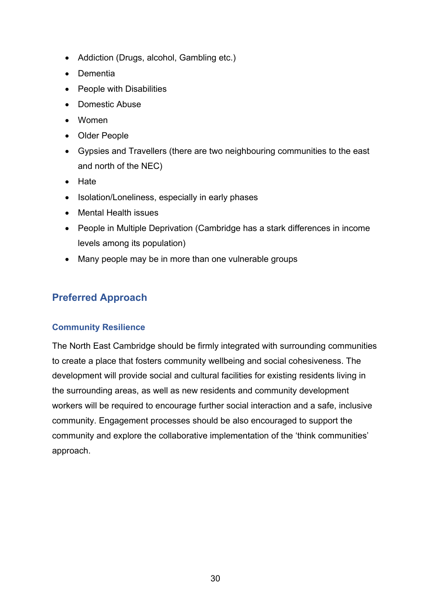- Addiction (Drugs, alcohol, Gambling etc.)
- Dementia
- People with Disabilities
- Domestic Abuse
- Women
- Older People
- Gypsies and Travellers (there are two neighbouring communities to the east and north of the NEC)
- Hate
- Isolation/Loneliness, especially in early phases
- Mental Health issues
- People in Multiple Deprivation (Cambridge has a stark differences in income levels among its population)
- Many people may be in more than one vulnerable groups

# <span id="page-29-0"></span>**Preferred Approach**

#### <span id="page-29-1"></span>**Community Resilience**

The North East Cambridge should be firmly integrated with surrounding communities to create a place that fosters community wellbeing and social cohesiveness. The development will provide social and cultural facilities for existing residents living in the surrounding areas, as well as new residents and community development workers will be required to encourage further social interaction and a safe, inclusive community. Engagement processes should be also encouraged to support the community and explore the collaborative implementation of the 'think communities' approach.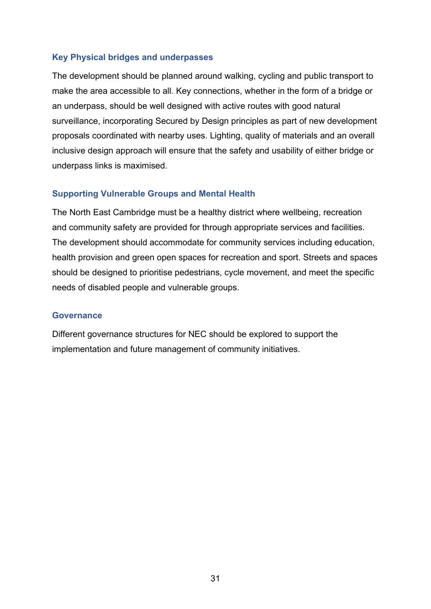#### <span id="page-30-0"></span>**Key Physical bridges and underpasses**

The development should be planned around walking, cycling and public transport to make the area accessible to all. Key connections, whether in the form of a bridge or an underpass, should be well designed with active routes with good natural surveillance, incorporating Secured by Design principles as part of new development proposals coordinated with nearby uses. Lighting, quality of materials and an overall inclusive design approach will ensure that the safety and usability of either bridge or underpass links is maximised.

#### <span id="page-30-1"></span>**Supporting Vulnerable Groups and Mental Health**

The North East Cambridge must be a healthy district where wellbeing, recreation and community safety are provided for through appropriate services and facilities. The development should accommodate for community services including education, health provision and green open spaces for recreation and sport. Streets and spaces should be designed to prioritise pedestrians, cycle movement, and meet the specific needs of disabled people and vulnerable groups.

#### <span id="page-30-2"></span>**Governance**

Different governance structures for NEC should be explored to support the implementation and future management of community initiatives.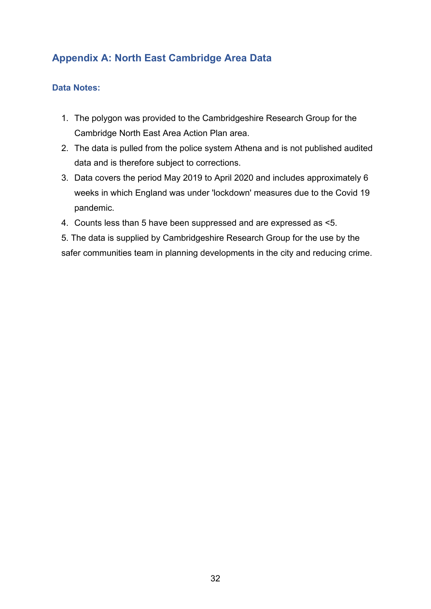# <span id="page-31-0"></span>**Appendix A: North East Cambridge Area Data**

#### <span id="page-31-1"></span>**Data Notes:**

- 1. The polygon was provided to the Cambridgeshire Research Group for the Cambridge North East Area Action Plan area.
- 2. The data is pulled from the police system Athena and is not published audited data and is therefore subject to corrections.
- 3. Data covers the period May 2019 to April 2020 and includes approximately 6 weeks in which England was under 'lockdown' measures due to the Covid 19 pandemic.
- 4. Counts less than 5 have been suppressed and are expressed as <5.
- 5. The data is supplied by Cambridgeshire Research Group for the use by the safer communities team in planning developments in the city and reducing crime.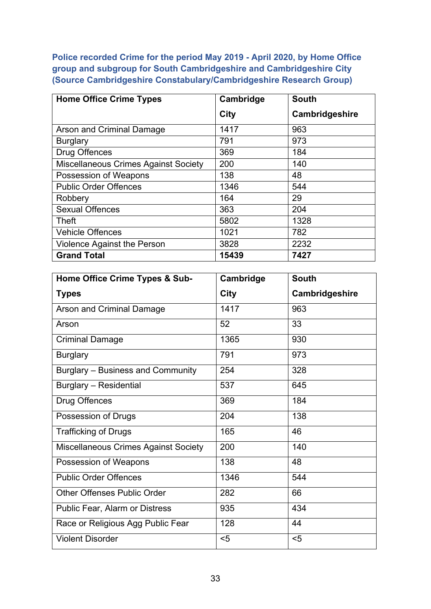<span id="page-32-0"></span>**Police recorded Crime for the period May 2019 - April 2020, by Home Office group and subgroup for South Cambridgeshire and Cambridgeshire City (Source Cambridgeshire Constabulary/Cambridgeshire Research Group)** 

| <b>Home Office Crime Types</b>              | Cambridge   | <b>South</b>   |
|---------------------------------------------|-------------|----------------|
|                                             | <b>City</b> | Cambridgeshire |
| <b>Arson and Criminal Damage</b>            | 1417        | 963            |
| <b>Burglary</b>                             | 791         | 973            |
| <b>Drug Offences</b>                        | 369         | 184            |
| <b>Miscellaneous Crimes Against Society</b> | 200         | 140            |
| Possession of Weapons                       | 138         | 48             |
| <b>Public Order Offences</b>                | 1346        | 544            |
| Robbery                                     | 164         | 29             |
| <b>Sexual Offences</b>                      | 363         | 204            |
| <b>Theft</b>                                | 5802        | 1328           |
| <b>Vehicle Offences</b>                     | 1021        | 782            |
| Violence Against the Person                 | 3828        | 2232           |
| <b>Grand Total</b>                          | 15439       | 7427           |

| Home Office Crime Types & Sub-              | Cambridge   | <b>South</b>   |
|---------------------------------------------|-------------|----------------|
| <b>Types</b>                                | <b>City</b> | Cambridgeshire |
| Arson and Criminal Damage                   | 1417        | 963            |
| Arson                                       | 52          | 33             |
| <b>Criminal Damage</b>                      | 1365        | 930            |
| <b>Burglary</b>                             | 791         | 973            |
| Burglary - Business and Community           | 254         | 328            |
| <b>Burglary - Residential</b>               | 537         | 645            |
| Drug Offences                               | 369         | 184            |
| Possession of Drugs                         | 204         | 138            |
| <b>Trafficking of Drugs</b>                 | 165         | 46             |
| <b>Miscellaneous Crimes Against Society</b> | 200         | 140            |
| Possession of Weapons                       | 138         | 48             |
| <b>Public Order Offences</b>                | 1346        | 544            |
| <b>Other Offenses Public Order</b>          | 282         | 66             |
| Public Fear, Alarm or Distress              | 935         | 434            |
| Race or Religious Agg Public Fear           | 128         | 44             |
| <b>Violent Disorder</b>                     | $5$         | $5$            |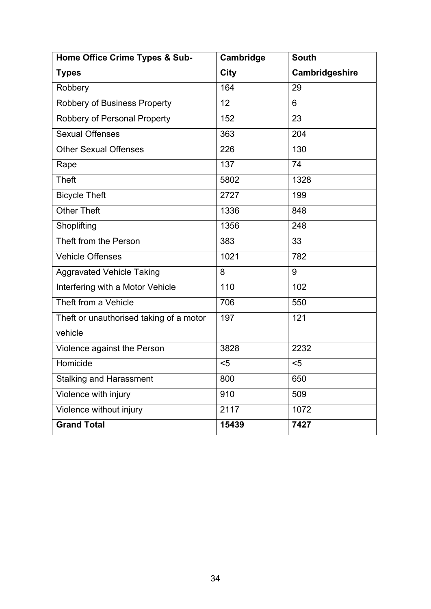| Home Office Crime Types & Sub-          | Cambridge   | <b>South</b>   |
|-----------------------------------------|-------------|----------------|
| <b>Types</b>                            | <b>City</b> | Cambridgeshire |
| Robbery                                 | 164         | 29             |
| <b>Robbery of Business Property</b>     | 12          | 6              |
| Robbery of Personal Property            | 152         | 23             |
| <b>Sexual Offenses</b>                  | 363         | 204            |
| <b>Other Sexual Offenses</b>            | 226         | 130            |
| Rape                                    | 137         | 74             |
| <b>Theft</b>                            | 5802        | 1328           |
| <b>Bicycle Theft</b>                    | 2727        | 199            |
| <b>Other Theft</b>                      | 1336        | 848            |
| Shoplifting                             | 1356        | 248            |
| Theft from the Person                   | 383         | 33             |
| <b>Vehicle Offenses</b>                 | 1021        | 782            |
| <b>Aggravated Vehicle Taking</b>        | 8           | 9              |
| Interfering with a Motor Vehicle        | 110         | 102            |
| Theft from a Vehicle                    | 706         | 550            |
| Theft or unauthorised taking of a motor | 197         | 121            |
| vehicle                                 |             |                |
| Violence against the Person             | 3828        | 2232           |
| Homicide                                | $5$         | $5$            |
| <b>Stalking and Harassment</b>          | 800         | 650            |
| Violence with injury                    | 910         | 509            |
| Violence without injury                 | 2117        | 1072           |
| <b>Grand Total</b>                      | 15439       | 7427           |